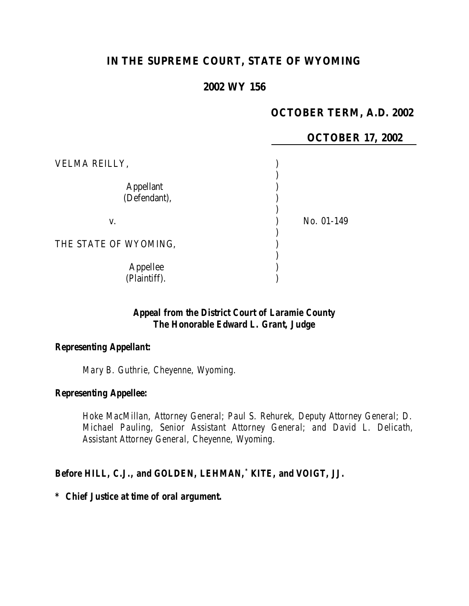# **IN THE SUPREME COURT, STATE OF WYOMING**

## **2002 WY 156**

## **OCTOBER TERM, A.D. 2002**

**17, 2002** 

|                       | <b>OCTOBER</b> |
|-----------------------|----------------|
| VELMA REILLY,         |                |
| <b>Appellant</b>      |                |
| (Defendant),          |                |
| V.                    | No. 01-149     |
| THE STATE OF WYOMING, |                |
| Appellee              |                |
| (Plaintiff).          |                |

# *Appeal from the District Court of Laramie County The Honorable Edward L. Grant, Judge*

## *Representing Appellant:*

*Mary B. Guthrie, Cheyenne, Wyoming.*

## *Representing Appellee:*

*Hoke MacMillan, Attorney General; Paul S. Rehurek, Deputy Attorney General; D. Michael Pauling, Senior Assistant Attorney General; and David L. Delicath, Assistant Attorney General, Cheyenne, Wyoming.*

## *Before HILL, C.J., and GOLDEN, LEHMAN,\* KITE, and VOIGT, JJ.*

*\* Chief Justice at time of oral argument.*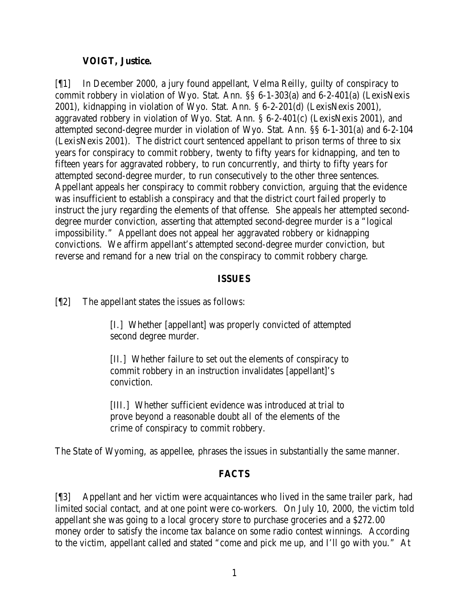## **VOIGT, Justice.**

[¶1] In December 2000, a jury found appellant, Velma Reilly, guilty of conspiracy to commit robbery in violation of Wyo. Stat. Ann. §§ 6-1-303(a) and 6-2-401(a) (LexisNexis 2001), kidnapping in violation of Wyo. Stat. Ann. § 6-2-201(d) (LexisNexis 2001), aggravated robbery in violation of Wyo. Stat. Ann. § 6-2-401(c) (LexisNexis 2001), and attempted second-degree murder in violation of Wyo. Stat. Ann. §§ 6-1-301(a) and 6-2-104 (LexisNexis 2001). The district court sentenced appellant to prison terms of three to six years for conspiracy to commit robbery, twenty to fifty years for kidnapping, and ten to fifteen years for aggravated robbery, to run concurrently, and thirty to fifty years for attempted second-degree murder, to run consecutively to the other three sentences. Appellant appeals her conspiracy to commit robbery conviction, arguing that the evidence was insufficient to establish a conspiracy and that the district court failed properly to instruct the jury regarding the elements of that offense. She appeals her attempted seconddegree murder conviction, asserting that attempted second-degree murder is a "logical impossibility." Appellant does not appeal her aggravated robbery or kidnapping convictions. We affirm appellant's attempted second-degree murder conviction, but reverse and remand for a new trial on the conspiracy to commit robbery charge.

## **ISSUES**

[¶2] The appellant states the issues as follows:

[I.] Whether [appellant] was properly convicted of attempted second degree murder.

[II.] Whether failure to set out the elements of conspiracy to commit robbery in an instruction invalidates [appellant]'s conviction.

[III.] Whether sufficient evidence was introduced at trial to prove beyond a reasonable doubt all of the elements of the crime of conspiracy to commit robbery.

The State of Wyoming, as appellee, phrases the issues in substantially the same manner.

# **FACTS**

[¶3] Appellant and her victim were acquaintances who lived in the same trailer park, had limited social contact, and at one point were co-workers. On July 10, 2000, the victim told appellant she was going to a local grocery store to purchase groceries and a \$272.00 money order to satisfy the income tax balance on some radio contest winnings. According to the victim, appellant called and stated "come and pick me up, and I'll go with you." At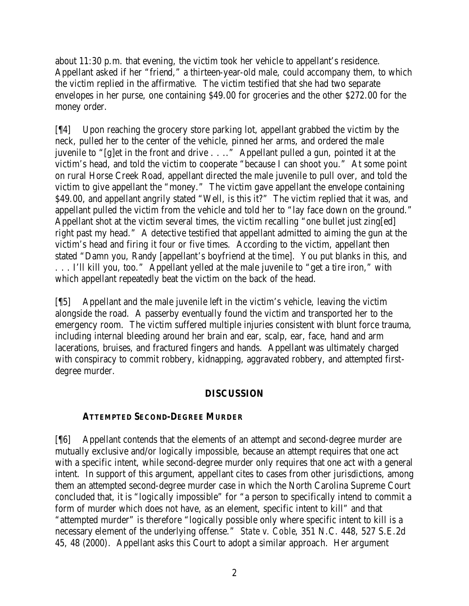about 11:30 p.m. that evening, the victim took her vehicle to appellant's residence. Appellant asked if her "friend," a thirteen-year-old male, could accompany them, to which the victim replied in the affirmative. The victim testified that she had two separate envelopes in her purse, one containing \$49.00 for groceries and the other \$272.00 for the money order.

[¶4] Upon reaching the grocery store parking lot, appellant grabbed the victim by the neck, pulled her to the center of the vehicle, pinned her arms, and ordered the male juvenile to "[g]et in the front and drive . . .." Appellant pulled a gun, pointed it at the victim's head, and told the victim to cooperate "because I can shoot you." At some point on rural Horse Creek Road, appellant directed the male juvenile to pull over, and told the victim to give appellant the "money." The victim gave appellant the envelope containing \$49.00, and appellant angrily stated "Well, is this it?" The victim replied that it was, and appellant pulled the victim from the vehicle and told her to "lay face down on the ground." Appellant shot at the victim several times, the victim recalling "one bullet just zing[ed] right past my head." A detective testified that appellant admitted to aiming the gun at the victim's head and firing it four or five times. According to the victim, appellant then stated "Damn you, Randy [appellant's boyfriend at the time]. You put blanks in this, and . . . I'll kill you, too." Appellant yelled at the male juvenile to "get a tire iron," with which appellant repeatedly beat the victim on the back of the head.

[¶5] Appellant and the male juvenile left in the victim's vehicle, leaving the victim alongside the road. A passerby eventually found the victim and transported her to the emergency room. The victim suffered multiple injuries consistent with blunt force trauma, including internal bleeding around her brain and ear, scalp, ear, face, hand and arm lacerations, bruises, and fractured fingers and hands. Appellant was ultimately charged with conspiracy to commit robbery, kidnapping, aggravated robbery, and attempted firstdegree murder.

# **DISCUSSION**

# **ATTEMPTED SECOND-DEGREE MURDER**

[¶6] Appellant contends that the elements of an attempt and second-degree murder are mutually exclusive and/or logically impossible, because an attempt requires that one act with a specific intent, while second-degree murder only requires that one act with a general intent. In support of this argument, appellant cites to cases from other jurisdictions, among them an attempted second-degree murder case in which the North Carolina Supreme Court concluded that, it is "logically impossible" for "a person to specifically intend to commit a form of murder which does not have, as an element, specific intent to kill" and that "attempted murder" is therefore "logically possible only where specific intent to kill is a necessary element of the underlying offense." *State v. Coble*, 351 N.C. 448, 527 S.E.2d 45, 48 (2000). Appellant asks this Court to adopt a similar approach. Her argument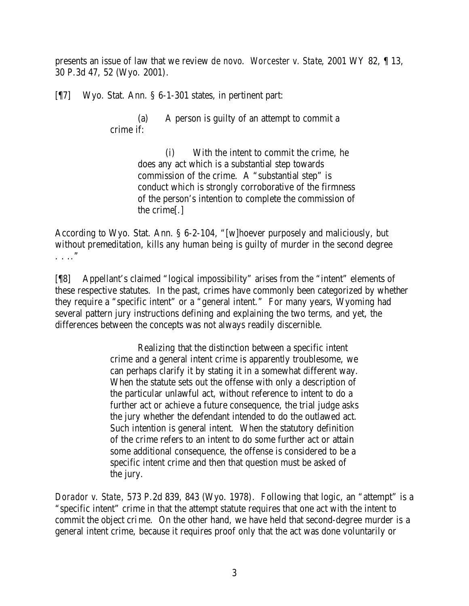presents an issue of law that we review *de novo*. *Worcester v. State*, 2001 WY 82, ¶ 13, 30 P.3d 47, 52 (Wyo. 2001).

[¶7] Wyo. Stat. Ann. § 6-1-301 states, in pertinent part:

(a) A person is guilty of an attempt to commit a crime if:

> (i) With the intent to commit the crime, he does any act which is a substantial step towards commission of the crime. A "substantial step" is conduct which is strongly corroborative of the firmness of the person's intention to complete the commission of the crime[.]

According to Wyo. Stat. Ann. § 6-2-104, "[w]hoever purposely and maliciously, but without premeditation, kills any human being is guilty of murder in the second degree . . .."

[¶8] Appellant's claimed "logical impossibility" arises from the "intent" elements of these respective statutes. In the past, crimes have commonly been categorized by whether they require a "specific intent" or a "general intent." For many years, Wyoming had several pattern jury instructions defining and explaining the two terms, and yet, the differences between the concepts was not always readily discernible.

> Realizing that the distinction between a specific intent crime and a general intent crime is apparently troublesome, we can perhaps clarify it by stating it in a somewhat different way. When the statute sets out the offense with only a description of the particular unlawful act, without reference to intent to do a further act or achieve a future consequence, the trial judge asks the jury whether the defendant intended to do the outlawed act. Such intention is general intent. When the statutory definition of the crime refers to an intent to do some further act or attain some additional consequence, the offense is considered to be a specific intent crime and then that question must be asked of the jury.

*Dorador v. State*, 573 P.2d 839, 843 (Wyo. 1978). Following that logic, an "attempt" is a "specific intent" crime in that the attempt statute requires that one act with the intent to commit the object crime. On the other hand, we have held that second-degree murder is a general intent crime, because it requires proof only that the act was done voluntarily or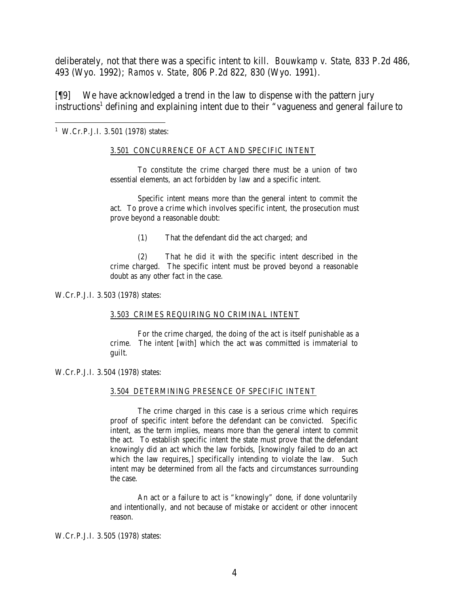deliberately, not that there was a specific intent to kill. *Bouwkamp v. State*, 833 P.2d 486, 493 (Wyo. 1992); *Ramos v. State*, 806 P.2d 822, 830 (Wyo. 1991).

[¶9] We have acknowledged a trend in the law to dispense with the pattern jury instructions<sup>1</sup> defining and explaining intent due to their "vagueness and general failure to

1 W.Cr.P.J.I. 3.501 (1978) states:

### 3.501 CONCURRENCE OF ACT AND SPECIFIC INTENT

To constitute the crime charged there must be a union of two essential elements, an act forbidden by law and a specific intent.

Specific intent means more than the general intent to commit the act. To prove a crime which involves specific intent, the prosecution must prove beyond a reasonable doubt:

(1) That the defendant did the act charged; and

(2) That he did it with the specific intent described in the crime charged. The specific intent must be proved beyond a reasonable doubt as any other fact in the case.

### W.Cr.P.J.I. 3.503 (1978) states:

#### 3.503 CRIMES REQUIRING NO CRIMINAL INTENT

For the crime charged, the doing of the act is itself punishable as a crime. The intent [with] which the act was committed is immaterial to guilt.

### W.Cr.P.J.I. 3.504 (1978) states:

#### 3.504 DETERMINING PRESENCE OF SPECIFIC INTENT

The crime charged in this case is a serious crime which requires proof of specific intent before the defendant can be convicted. Specific intent, as the term implies, means more than the general intent to commit the act. To establish specific intent the state must prove that the defendant knowingly did an act which the law forbids, [knowingly failed to do an act which the law requires, specifically intending to violate the law. Such intent may be determined from all the facts and circumstances surrounding the case.

An act or a failure to act is "knowingly" done, if done voluntarily and intentionally, and not because of mistake or accident or other innocent reason.

### W.Cr.P.J.I. 3.505 (1978) states: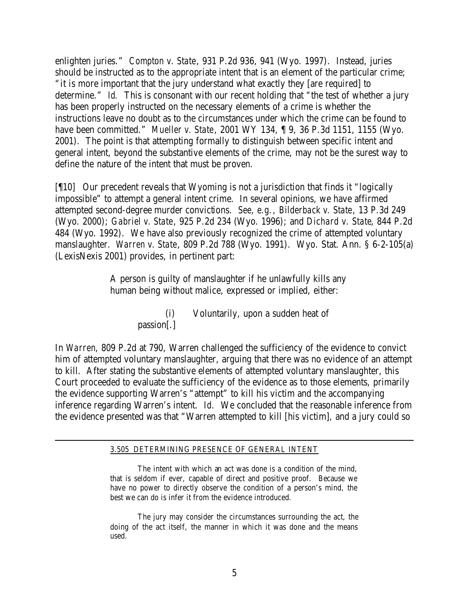enlighten juries." *Compton v. State*, 931 P.2d 936, 941 (Wyo. 1997). Instead, juries should be instructed as to the appropriate intent that is an element of the particular crime; "it is more important that the jury understand what exactly they [are required] to determine." *Id.* This is consonant with our recent holding that "the test of whether a jury has been properly instructed on the necessary elements of a crime is whether the instructions leave no doubt as to the circumstances under which the crime can be found to have been committed." *Mueller v. State*, 2001 WY 134, ¶ 9, 36 P.3d 1151, 1155 (Wyo. 2001). The point is that attempting formally to distinguish between specific intent and general intent, beyond the substantive elements of the crime, may not be the surest way to define the nature of the intent that must be proven.

[¶10] Our precedent reveals that Wyoming is not a jurisdiction that finds it "logically impossible" to attempt a general intent crime. In several opinions, we have affirmed attempted second-degree murder convictions. *See, e.g.*, *Bilderback v. State*, 13 P.3d 249 (Wyo. 2000); *Gabriel v. State*, 925 P.2d 234 (Wyo. 1996); and *Dichard v. State*, 844 P.2d 484 (Wyo. 1992). We have also previously recognized the crime of attempted voluntary manslaughter. *Warren v. State*, 809 P.2d 788 (Wyo. 1991). Wyo. Stat. Ann. § 6-2-105(a) (LexisNexis 2001) provides, in pertinent part:

> A person is guilty of manslaughter if he unlawfully kills any human being without malice, expressed or implied, either:

> > (i) Voluntarily, upon a sudden heat of passion[.]

In *Warren*, 809 P.2d at 790, Warren challenged the sufficiency of the evidence to convict him of attempted voluntary manslaughter, arguing that there was no evidence of an attempt to kill. After stating the substantive elements of attempted voluntary manslaughter, this Court proceeded to evaluate the sufficiency of the evidence as to those elements, primarily the evidence supporting Warren's "attempt" to kill his victim and the accompanying inference regarding Warren's intent. *Id.* We concluded that the reasonable inference from the evidence presented was that "Warren attempted to kill [his victim], and a jury could so

### 3.505 DETERMINING PRESENCE OF GENERAL INTENT

The intent with which an act was done is a condition of the mind, that is seldom if ever, capable of direct and positive proof. Because we have no power to directly observe the condition of a person's mind, the best we can do is infer it from the evidence introduced.

The jury may consider the circumstances surrounding the act, the doing of the act itself, the manner in which it was done and the means used.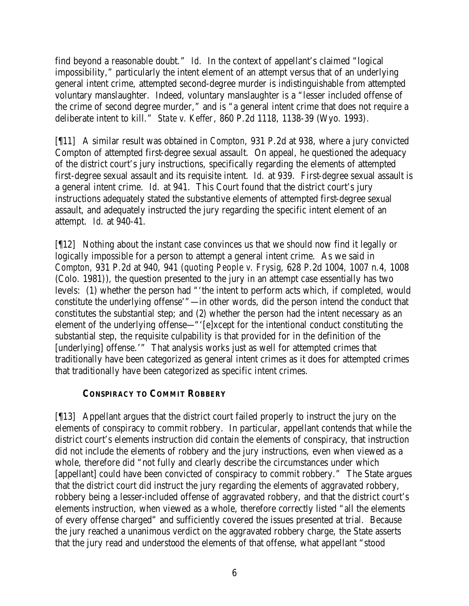find beyond a reasonable doubt." *Id.* In the context of appellant's claimed "logical impossibility," particularly the intent element of an attempt versus that of an underlying general intent crime, attempted second-degree murder is indistinguishable from attempted voluntary manslaughter. Indeed, voluntary manslaughter is a "lesser included offense of the crime of second degree murder," and is "a general intent crime that does not require a deliberate intent to kill." *State v. Keffer*, 860 P.2d 1118, 1138-39 (Wyo. 1993).

[¶11] A similar result was obtained in *Compton*, 931 P.2d at 938, where a jury convicted Compton of attempted first-degree sexual assault. On appeal, he questioned the adequacy of the district court's jury instructions, specifically regarding the elements of attempted first-degree sexual assault and its requisite intent. *Id.* at 939. First-degree sexual assault is a general intent crime. *Id.* at 941. This Court found that the district court's jury instructions adequately stated the substantive elements of attempted first-degree sexual assault, and adequately instructed the jury regarding the specific intent element of an attempt. *Id.* at 940-41.

[¶12] Nothing about the instant case convinces us that we should now find it legally or logically impossible for a person to attempt a general intent crime. As we said in *Compton*, 931 P.2d at 940, 941 (*quoting People v. Frysig*, 628 P.2d 1004, 1007 n.4, 1008 (Colo. 1981)), the question presented to the jury in an attempt case essentially has two levels: (1) whether the person had "'the intent to perform acts which, if completed, would constitute the underlying offense'"—in other words, did the person intend the conduct that constitutes the substantial step; and (2) whether the person had the intent necessary as an element of the underlying offense—"'[e]xcept for the intentional conduct constituting the substantial step, the requisite culpability is that provided for in the definition of the [underlying] offense.'" That analysis works just as well for attempted crimes that traditionally have been categorized as general intent crimes as it does for attempted crimes that traditionally have been categorized as specific intent crimes.

# **CONSPIRACY TO COMMIT ROBBERY**

[¶13] Appellant argues that the district court failed properly to instruct the jury on the elements of conspiracy to commit robbery. In particular, appellant contends that while the district court's elements instruction did contain the elements of conspiracy, that instruction did not include the elements of robbery and the jury instructions, even when viewed as a whole, therefore did "not fully and clearly describe the circumstances under which [appellant] could have been convicted of conspiracy to commit robbery." The State argues that the district court did instruct the jury regarding the elements of aggravated robbery, robbery being a lesser-included offense of aggravated robbery, and that the district court's elements instruction, when viewed as a whole, therefore correctly listed "all the elements of every offense charged" and sufficiently covered the issues presented at trial. Because the jury reached a unanimous verdict on the aggravated robbery charge, the State asserts that the jury read and understood the elements of that offense, what appellant "stood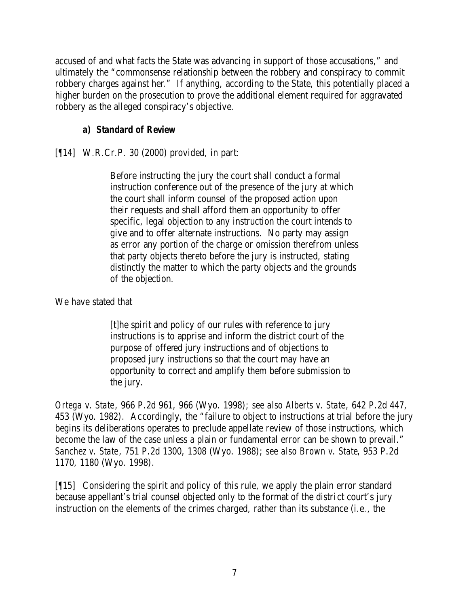accused of and what facts the State was advancing in support of those accusations," and ultimately the "commonsense relationship between the robbery and conspiracy to commit robbery charges against her." If anything, according to the State, this potentially placed a higher burden on the prosecution to prove the additional element required for aggravated robbery as the alleged conspiracy's objective.

# *a) Standard of Review*

# [¶14] W.R.Cr.P. 30 (2000) provided, in part:

Before instructing the jury the court shall conduct a formal instruction conference out of the presence of the jury at which the court shall inform counsel of the proposed action upon their requests and shall afford them an opportunity to offer specific, legal objection to any instruction the court intends to give and to offer alternate instructions. No party may assign as error any portion of the charge or omission therefrom unless that party objects thereto before the jury is instructed, stating distinctly the matter to which the party objects and the grounds of the objection.

# We have stated that

[t]he spirit and policy of our rules with reference to jury instructions is to apprise and inform the district court of the purpose of offered jury instructions and of objections to proposed jury instructions so that the court may have an opportunity to correct and amplify them before submission to the jury.

*Ortega v. State*, 966 P.2d 961, 966 (Wyo. 1998); *see also Alberts v. State*, 642 P.2d 447, 453 (Wyo. 1982). Accordingly, the "failure to object to instructions at trial before the jury begins its deliberations operates to preclude appellate review of those instructions, which become the law of the case unless a plain or fundamental error can be shown to prevail." *Sanchez v. State*, 751 P.2d 1300, 1308 (Wyo. 1988); *see also Brown v. State*, 953 P.2d 1170, 1180 (Wyo. 1998).

[¶15] Considering the spirit and policy of this rule, we apply the plain error standard because appellant's trial counsel objected only to the format of the district court's jury instruction on the elements of the crimes charged, rather than its substance (i.e., the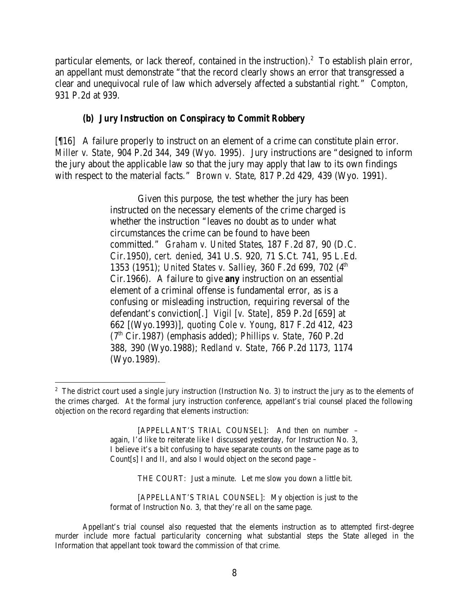particular elements, or lack thereof, contained in the instruction).<sup>2</sup> To establish plain error, an appellant must demonstrate "that the record clearly shows an error that transgressed a clear and unequivocal rule of law which adversely affected a substantial right." *Compton*, 931 P.2d at 939.

## *(b) Jury Instruction on Conspiracy to Commit Robbery*

[¶16] A failure properly to instruct on an element of a crime can constitute plain error. *Miller v. State*, 904 P.2d 344, 349 (Wyo. 1995). Jury instructions are "designed to inform the jury about the applicable law so that the jury may apply that law to its own findings with respect to the material facts." *Brown v. State*, 817 P.2d 429, 439 (Wyo. 1991).

> Given this purpose, the test whether the jury has been instructed on the necessary elements of the crime charged is whether the instruction "leaves no doubt as to under what circumstances the crime can be found to have been committed." *Graham v. United States*, 187 F.2d 87, 90 (D.C. Cir.1950), *cert. denied*, 341 U.S. 920, 71 S.Ct. 741, 95 L.Ed. 1353 (1951); *United States v. Salliey*, 360 F.2d 699, 702 (4<sup>th</sup> Cir.1966). A failure to give *any* instruction on an essential element of a criminal offense is fundamental error, as is a confusing or misleading instruction, requiring reversal of the defendant's conviction[.] *Vigil [v. State]*, 859 P.2d [659] at 662 [(Wyo.1993)], *quoting Cole v. Young*, 817 F.2d 412, 423 (7th Cir.1987) (emphasis added); *Phillips v. State*, 760 P.2d 388, 390 (Wyo.1988); *Redland v. State*, 766 P.2d 1173, 1174 (Wyo.1989).

  $2^2$  The district court used a single jury instruction (Instruction No. 3) to instruct the jury as to the elements of the crimes charged. At the formal jury instruction conference, appellant's trial counsel placed the following objection on the record regarding that elements instruction:

<sup>[</sup>APPELLANT'S TRIAL COUNSEL]: And then on number – again, I'd like to reiterate like I discussed yesterday, for Instruction No. 3, I believe it's a bit confusing to have separate counts on the same page as to Count[s] I and II, and also I would object on the second page –

THE COURT: Just a minute. Let me slow you down a little bit.

<sup>[</sup>APPELLANT'S TRIAL COUNSEL]: My objection is just to the format of Instruction No. 3, that they're all on the same page.

Appellant's trial counsel also requested that the elements instruction as to attempted first-degree murder include more factual particularity concerning what substantial steps the State alleged in the Information that appellant took toward the commission of that crime.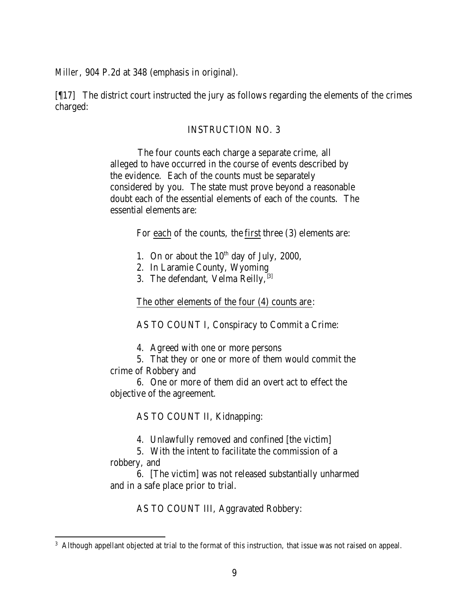*Miller*, 904 P.2d at 348 (emphasis in original).

[¶17] The district court instructed the jury as follows regarding the elements of the crimes charged:

### INSTRUCTION NO. 3

The four counts each charge a separate crime, all alleged to have occurred in the course of events described by the evidence. Each of the counts must be separately considered by you. The state must prove beyond a reasonable doubt each of the essential elements of each of the counts. The essential elements are:

For each of the counts, the first three (3) elements are:

- 1. On or about the  $10^{th}$  day of July, 2000,
- 2. In Laramie County, Wyoming
- 3. The defendant, Velma Reilly,  $[3]$

The other elements of the four (4) counts are:

AS TO COUNT I, Conspiracy to Commit a Crime:

4. Agreed with one or more persons

5. That they or one or more of them would commit the crime of Robbery and

6. One or more of them did an overt act to effect the objective of the agreement.

AS TO COUNT II, Kidnapping:

4. Unlawfully removed and confined [the victim]

5. With the intent to facilitate the commission of a robbery, and

6. [The victim] was not released substantially unharmed and in a safe place prior to trial.

AS TO COUNT III, Aggravated Robbery:

<sup>&</sup>lt;sup>3</sup> Although appellant objected at trial to the format of this instruction, that issue was not raised on appeal.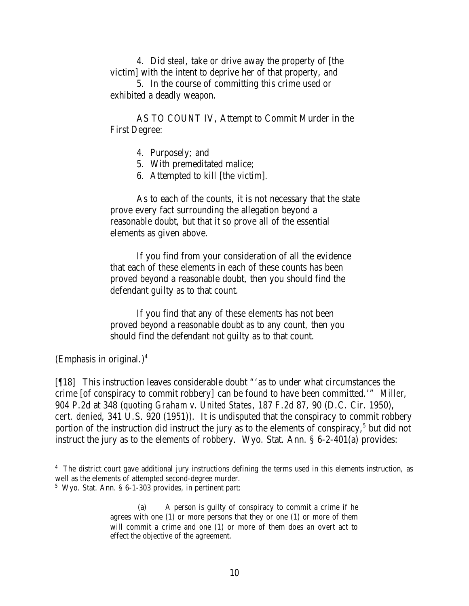4. Did steal, take or drive away the property of [the victim] with the intent to deprive her of that property, and

5. In the course of committing this crime used or exhibited a deadly weapon.

AS TO COUNT IV, Attempt to Commit Murder in the First Degree:

- 4. Purposely; and
- 5. With premeditated malice;
- 6. Attempted to kill [the victim].

As to each of the counts, it is not necessary that the state prove every fact surrounding the allegation beyond a reasonable doubt, but that it so prove all of the essential elements as given above.

If you find from your consideration of all the evidence that each of these elements in each of these counts has been proved beyond a reasonable doubt, then you should find the defendant guilty as to that count.

If you find that any of these elements has not been proved beyond a reasonable doubt as to any count, then you should find the defendant not guilty as to that count.

(Emphasis in original.)<sup>4</sup>

[¶18] This instruction leaves considerable doubt "'as to under what circumstances the crime [of conspiracy to commit robbery] can be found to have been committed.'" *Miller*, 904 P.2d at 348 (*quoting Graham v. United States*, 187 F.2d 87, 90 (D.C. Cir. 1950), *cert. denied*, 341 U.S. 920 (1951)). It is undisputed that the conspiracy to commit robbery portion of the instruction did instruct the jury as to the elements of conspiracy, $5$  but did not instruct the jury as to the elements of robbery. Wyo. Stat. Ann. § 6-2-401(a) provides:

<sup>&</sup>lt;sup>4</sup> The district court gave additional jury instructions defining the terms used in this elements instruction, as well as the elements of attempted second-degree murder.

<sup>5</sup> Wyo. Stat. Ann. § 6-1-303 provides, in pertinent part:

<sup>(</sup>a) A person is guilty of conspiracy to commit a crime if he agrees with one (1) or more persons that they or one (1) or more of them will commit a crime and one (1) or more of them does an overt act to effect the objective of the agreement.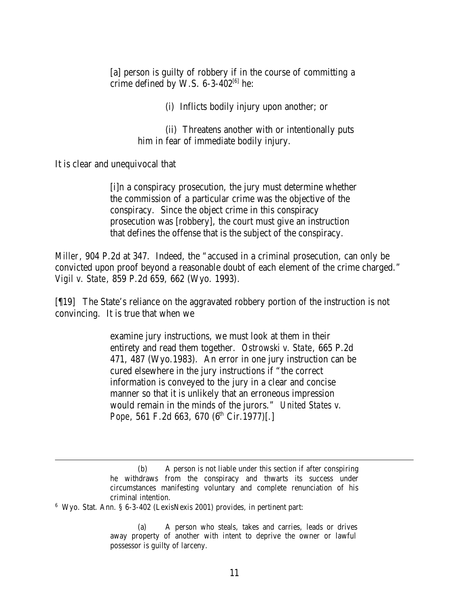[a] person is guilty of robbery if in the course of committing a crime defined by W.S.  $6-3-402^{[6]}$  he:

(i) Inflicts bodily injury upon another; or

(ii) Threatens another with or intentionally puts him in fear of immediate bodily injury.

It is clear and unequivocal that

[i]n a conspiracy prosecution, the jury must determine whether the commission of a particular crime was the objective of the conspiracy. Since the object crime in this conspiracy prosecution was [robbery], the court must give an instruction that defines the offense that is the subject of the conspiracy.

*Miller*, 904 P.2d at 347. Indeed, the "accused in a criminal prosecution, can only be convicted upon proof beyond a reasonable doubt of each element of the crime charged." *Vigil v. State*, 859 P.2d 659, 662 (Wyo. 1993).

[¶19] The State's reliance on the aggravated robbery portion of the instruction is not convincing. It is true that when we

> examine jury instructions, we must look at them in their entirety and read them together. *Ostrowski v. State*, 665 P.2d 471, 487 (Wyo.1983). An error in one jury instruction can be cured elsewhere in the jury instructions if "the correct information is conveyed to the jury in a clear and concise manner so that it is unlikely that an erroneous impression would remain in the minds of the jurors." *United States v. Pope*, 561 F.2d 663, 670 (6<sup>th</sup> Cir.1977)[.]

<sup>(</sup>b) A person is not liable under this section if after conspiring he withdraws from the conspiracy and thwarts its success under circumstances manifesting voluntary and complete renunciation of his criminal intention.

<sup>6</sup> Wyo. Stat. Ann. § 6-3-402 (LexisNexis 2001) provides, in pertinent part:

<sup>(</sup>a) A person who steals, takes and carries, leads or drives away property of another with intent to deprive the owner or lawful possessor is guilty of larceny.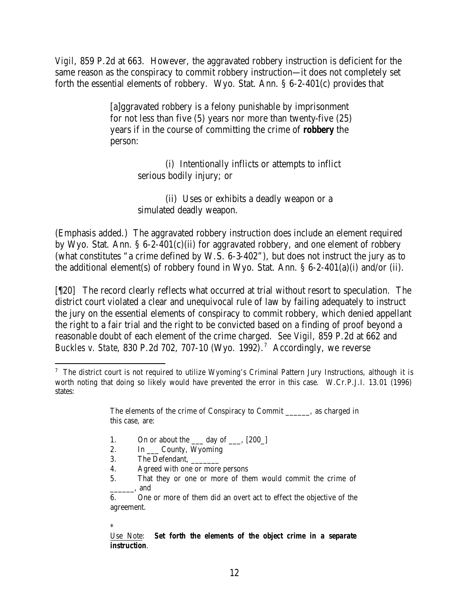*Vigil*, 859 P.2d at 663. However, the aggravated robbery instruction is deficient for the same reason as the conspiracy to commit robbery instruction—it does not completely set forth the essential elements of robbery. Wyo. Stat. Ann. § 6-2-401(c) provides that

> [a]ggravated robbery is a felony punishable by imprisonment for not less than five (5) years nor more than twenty-five (25) years if in the course of committing the crime of *robbery* the person:

> > (i) Intentionally inflicts or attempts to inflict serious bodily injury; or

(ii) Uses or exhibits a deadly weapon or a simulated deadly weapon.

(Emphasis added.) The aggravated robbery instruction does include an element required by Wyo. Stat. Ann. § 6-2-401(c)(ii) for aggravated robbery, and one element of robbery (what constitutes "a crime defined by W.S. 6-3-402"), but does not instruct the jury as to the additional element(s) of robbery found in Wyo. Stat. Ann. § 6-2-401(a)(i) and/or (ii).

[¶20] The record clearly reflects what occurred at trial without resort to speculation. The district court violated a clear and unequivocal rule of law by failing adequately to instruct the jury on the essential elements of conspiracy to commit robbery, which denied appellant the right to a fair trial and the right to be convicted based on a finding of proof beyond a reasonable doubt of each element of the crime charged. *See Vigil*, 859 P.2d at 662 and *Buckles v. State*, 830 P.2d 702, 707-10 (Wyo. 1992). 7 Accordingly, we reverse

- 1. On or about the  $\_\_\_$  day of  $\_\_\_\$  [200 $\_\$ ]
- 2. In \_\_\_ County, Wyoming
- 3. The Defendant,
- 4. Agreed with one or more persons
- 5. That they or one or more of them would commit the crime of \_\_\_\_\_\_, and

6. One or more of them did an overt act to effect the objective of the agreement.

\*

Use Note: *Set forth the elements of the object crime in a separate instruction*.

 <sup>7</sup> The district court is not required to utilize Wyoming's Criminal Pattern Jury Instructions, although it is worth noting that doing so likely would have prevented the error in this case. W.Cr.P.J.I. 13.01 (1996) states:

The elements of the crime of Conspiracy to Commit \_\_\_\_\_\_, as charged in this case, are: